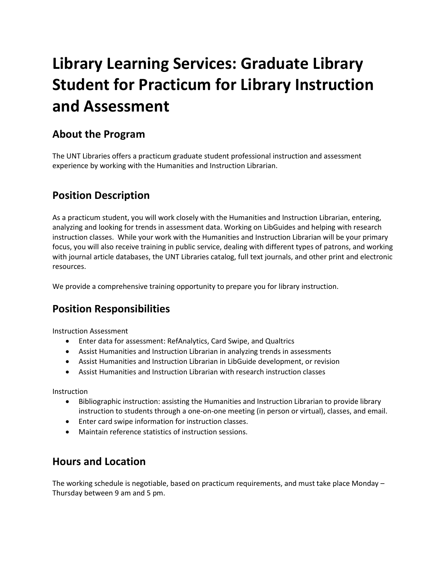# **Library Learning Services: Graduate Library Student for Practicum for Library Instruction and Assessment**

## **About the Program**

The UNT Libraries offers a practicum graduate student professional instruction and assessment experience by working with the Humanities and Instruction Librarian.

# **Position Description**

As a practicum student, you will work closely with the Humanities and Instruction Librarian, entering, analyzing and looking for trends in assessment data. Working on LibGuides and helping with research instruction classes. While your work with the Humanities and Instruction Librarian will be your primary focus, you will also receive training in public service, dealing with different types of patrons, and working with journal article databases, the UNT Libraries catalog, full text journals, and other print and electronic resources.

We provide a comprehensive training opportunity to prepare you for library instruction.

## **Position Responsibilities**

Instruction Assessment

- Enter data for assessment: RefAnalytics, Card Swipe, and Qualtrics
- Assist Humanities and Instruction Librarian in analyzing trends in assessments
- Assist Humanities and Instruction Librarian in LibGuide development, or revision
- Assist Humanities and Instruction Librarian with research instruction classes

Instruction

- Bibliographic instruction: assisting the Humanities and Instruction Librarian to provide library instruction to students through a one-on-one meeting (in person or virtual), classes, and email.
- Enter card swipe information for instruction classes.
- Maintain reference statistics of instruction sessions.

#### **Hours and Location**

The working schedule is negotiable, based on practicum requirements, and must take place Monday – Thursday between 9 am and 5 pm.